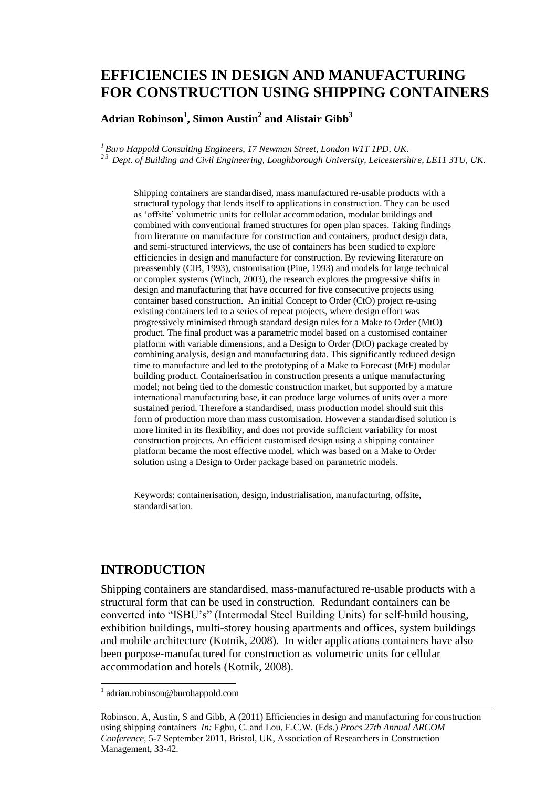# **EFFICIENCIES IN DESIGN AND MANUFACTURING FOR CONSTRUCTION USING SHIPPING CONTAINERS**

**Adrian Robinson<sup>1</sup> , Simon Austin<sup>2</sup> and Alistair Gibb<sup>3</sup>**

*<sup>1</sup>Buro Happold Consulting Engineers, 17 Newman Street, London W1T 1PD, UK. 2 3 Dept. of Building and Civil Engineering, Loughborough University, Leicestershire, LE11 3TU, UK.*

Shipping containers are standardised, mass manufactured re-usable products with a structural typology that lends itself to applications in construction. They can be used as 'offsite' volumetric units for cellular accommodation, modular buildings and combined with conventional framed structures for open plan spaces. Taking findings from literature on manufacture for construction and containers, product design data, and semi-structured interviews, the use of containers has been studied to explore efficiencies in design and manufacture for construction. By reviewing literature on preassembly (CIB, 1993), customisation (Pine, 1993) and models for large technical or complex systems (Winch, 2003), the research explores the progressive shifts in design and manufacturing that have occurred for five consecutive projects using container based construction. An initial Concept to Order (CtO) project re-using existing containers led to a series of repeat projects, where design effort was progressively minimised through standard design rules for a Make to Order (MtO) product. The final product was a parametric model based on a customised container platform with variable dimensions, and a Design to Order (DtO) package created by combining analysis, design and manufacturing data. This significantly reduced design time to manufacture and led to the prototyping of a Make to Forecast (MtF) modular building product. Containerisation in construction presents a unique manufacturing model; not being tied to the domestic construction market, but supported by a mature international manufacturing base, it can produce large volumes of units over a more sustained period. Therefore a standardised, mass production model should suit this form of production more than mass customisation. However a standardised solution is more limited in its flexibility, and does not provide sufficient variability for most construction projects. An efficient customised design using a shipping container platform became the most effective model, which was based on a Make to Order solution using a Design to Order package based on parametric models.

Keywords: containerisation, design, industrialisation, manufacturing, offsite, standardisation.

# **INTRODUCTION**

Shipping containers are standardised, mass-manufactured re-usable products with a structural form that can be used in construction. Redundant containers can be converted into "ISBU's" (Intermodal Steel Building Units) for self-build housing, exhibition buildings, multi-storey housing apartments and offices, system buildings and mobile architecture (Kotnik, 2008). In wider applications containers have also been purpose-manufactured for construction as volumetric units for cellular accommodation and hotels (Kotnik, 2008).

 $\overline{a}$ 

<sup>1</sup> adrian.robinson@burohappold.com

Robinson, A, Austin, S and Gibb, A (2011) Efficiencies in design and manufacturing for construction using shipping containers *In:* Egbu, C. and Lou, E.C.W. (Eds.) *Procs 27th Annual ARCOM Conference,* 5-7 September 2011, Bristol, UK, Association of Researchers in Construction Management, 33-42.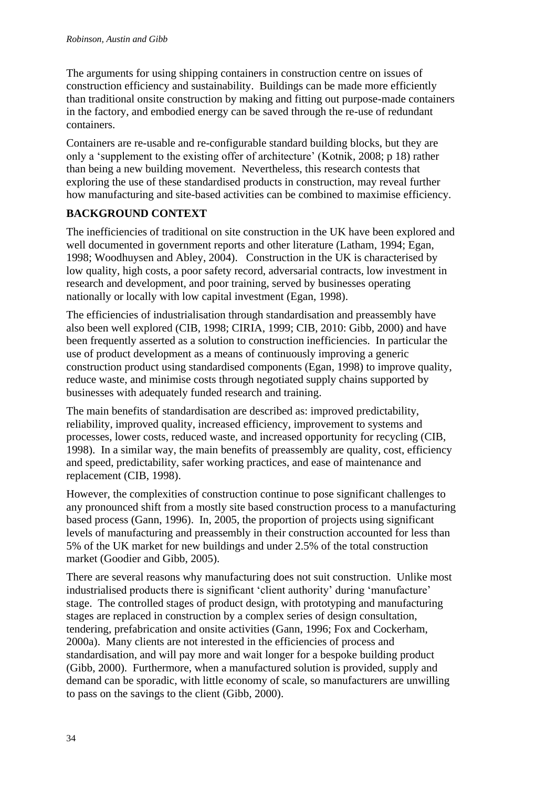The arguments for using shipping containers in construction centre on issues of construction efficiency and sustainability. Buildings can be made more efficiently than traditional onsite construction by making and fitting out purpose-made containers in the factory, and embodied energy can be saved through the re-use of redundant containers.

Containers are re-usable and re-configurable standard building blocks, but they are only a 'supplement to the existing offer of architecture' (Kotnik, 2008; p 18) rather than being a new building movement. Nevertheless, this research contests that exploring the use of these standardised products in construction, may reveal further how manufacturing and site-based activities can be combined to maximise efficiency.

# **BACKGROUND CONTEXT**

The inefficiencies of traditional on site construction in the UK have been explored and well documented in government reports and other literature (Latham, 1994; Egan, 1998; Woodhuysen and Abley, 2004). Construction in the UK is characterised by low quality, high costs, a poor safety record, adversarial contracts, low investment in research and development, and poor training, served by businesses operating nationally or locally with low capital investment (Egan, 1998).

The efficiencies of industrialisation through standardisation and preassembly have also been well explored (CIB, 1998; CIRIA, 1999; CIB, 2010: Gibb, 2000) and have been frequently asserted as a solution to construction inefficiencies. In particular the use of product development as a means of continuously improving a generic construction product using standardised components (Egan, 1998) to improve quality, reduce waste, and minimise costs through negotiated supply chains supported by businesses with adequately funded research and training.

The main benefits of standardisation are described as: improved predictability, reliability, improved quality, increased efficiency, improvement to systems and processes, lower costs, reduced waste, and increased opportunity for recycling (CIB, 1998). In a similar way, the main benefits of preassembly are quality, cost, efficiency and speed, predictability, safer working practices, and ease of maintenance and replacement (CIB, 1998).

However, the complexities of construction continue to pose significant challenges to any pronounced shift from a mostly site based construction process to a manufacturing based process (Gann, 1996). In, 2005, the proportion of projects using significant levels of manufacturing and preassembly in their construction accounted for less than 5% of the UK market for new buildings and under 2.5% of the total construction market (Goodier and Gibb, 2005).

There are several reasons why manufacturing does not suit construction. Unlike most industrialised products there is significant 'client authority' during 'manufacture' stage. The controlled stages of product design, with prototyping and manufacturing stages are replaced in construction by a complex series of design consultation, tendering, prefabrication and onsite activities (Gann, 1996; Fox and Cockerham, 2000a). Many clients are not interested in the efficiencies of process and standardisation, and will pay more and wait longer for a bespoke building product (Gibb, 2000). Furthermore, when a manufactured solution is provided, supply and demand can be sporadic, with little economy of scale, so manufacturers are unwilling to pass on the savings to the client (Gibb, 2000).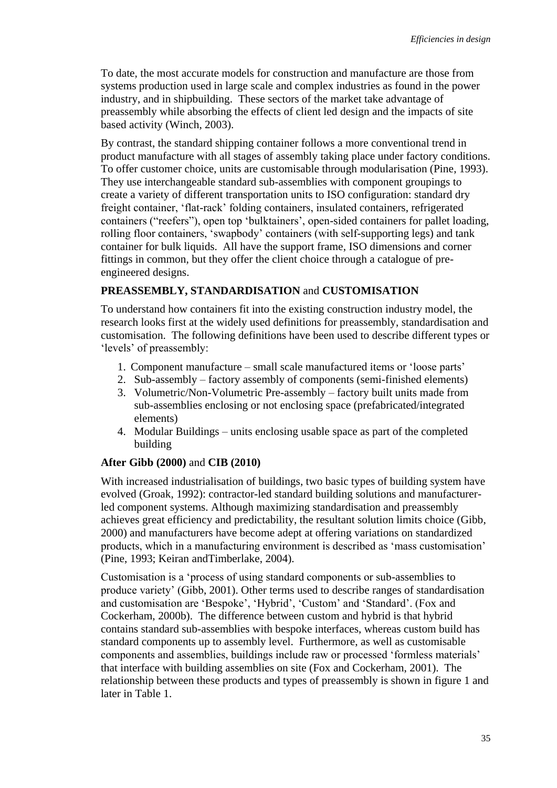To date, the most accurate models for construction and manufacture are those from systems production used in large scale and complex industries as found in the power industry, and in shipbuilding. These sectors of the market take advantage of preassembly while absorbing the effects of client led design and the impacts of site based activity (Winch, 2003).

By contrast, the standard shipping container follows a more conventional trend in product manufacture with all stages of assembly taking place under factory conditions. To offer customer choice, units are customisable through modularisation (Pine, 1993). They use interchangeable standard sub-assemblies with component groupings to create a variety of different transportation units to ISO configuration: standard dry freight container, 'flat-rack' folding containers, insulated containers, refrigerated containers ("reefers"), open top 'bulktainers', open-sided containers for pallet loading, rolling floor containers, 'swapbody' containers (with self-supporting legs) and tank container for bulk liquids. All have the support frame, ISO dimensions and corner fittings in common, but they offer the client choice through a catalogue of preengineered designs.

## **PREASSEMBLY, STANDARDISATION** and **CUSTOMISATION**

To understand how containers fit into the existing construction industry model, the research looks first at the widely used definitions for preassembly, standardisation and customisation. The following definitions have been used to describe different types or 'levels' of preassembly:

- 1. Component manufacture small scale manufactured items or 'loose parts'
- 2. Sub-assembly factory assembly of components (semi-finished elements)
- 3. Volumetric/Non-Volumetric Pre-assembly factory built units made from sub-assemblies enclosing or not enclosing space (prefabricated/integrated elements)
- 4. Modular Buildings units enclosing usable space as part of the completed building

# **After Gibb (2000)** and **CIB (2010)**

With increased industrialisation of buildings, two basic types of building system have evolved (Groak, 1992): contractor-led standard building solutions and manufacturerled component systems. Although maximizing standardisation and preassembly achieves great efficiency and predictability, the resultant solution limits choice (Gibb, 2000) and manufacturers have become adept at offering variations on standardized products, which in a manufacturing environment is described as 'mass customisation' (Pine, 1993; Keiran andTimberlake, 2004).

Customisation is a 'process of using standard components or sub-assemblies to produce variety' (Gibb, 2001). Other terms used to describe ranges of standardisation and customisation are 'Bespoke', 'Hybrid', 'Custom' and 'Standard'. (Fox and Cockerham, 2000b). The difference between custom and hybrid is that hybrid contains standard sub-assemblies with bespoke interfaces, whereas custom build has standard components up to assembly level. Furthermore, as well as customisable components and assemblies, buildings include raw or processed 'formless materials' that interface with building assemblies on site (Fox and Cockerham, 2001). The relationship between these products and types of preassembly is shown in figure 1 and later in Table 1.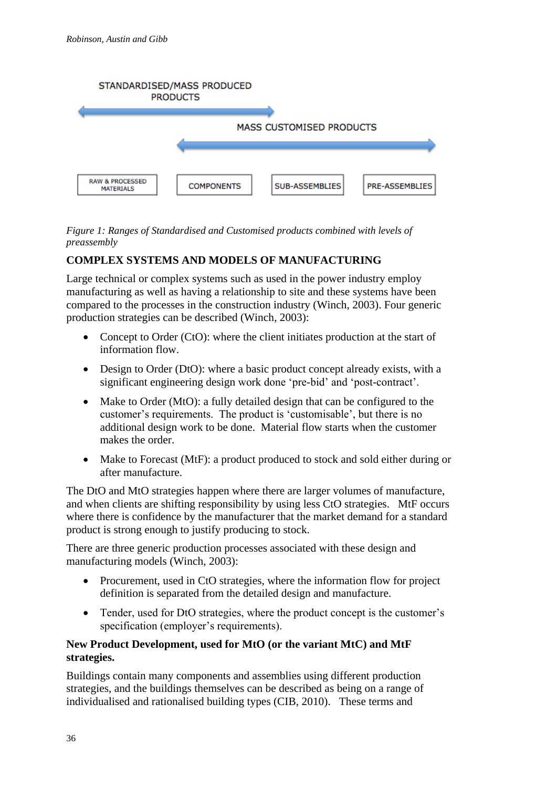

*Figure 1: Ranges of Standardised and Customised products combined with levels of preassembly*

# **COMPLEX SYSTEMS AND MODELS OF MANUFACTURING**

Large technical or complex systems such as used in the power industry employ manufacturing as well as having a relationship to site and these systems have been compared to the processes in the construction industry (Winch, 2003). Four generic production strategies can be described (Winch, 2003):

- Concept to Order (CtO): where the client initiates production at the start of information flow.
- Design to Order (DtO): where a basic product concept already exists, with a significant engineering design work done 'pre-bid' and 'post-contract'.
- Make to Order (MtO): a fully detailed design that can be configured to the customer's requirements. The product is 'customisable', but there is no additional design work to be done. Material flow starts when the customer makes the order.
- Make to Forecast (MtF): a product produced to stock and sold either during or after manufacture.

The DtO and MtO strategies happen where there are larger volumes of manufacture, and when clients are shifting responsibility by using less CtO strategies. MtF occurs where there is confidence by the manufacturer that the market demand for a standard product is strong enough to justify producing to stock.

There are three generic production processes associated with these design and manufacturing models (Winch, 2003):

- Procurement, used in CtO strategies, where the information flow for project definition is separated from the detailed design and manufacture.
- Tender, used for DtO strategies, where the product concept is the customer's specification (employer's requirements).

# **New Product Development, used for MtO (or the variant MtC) and MtF strategies.**

Buildings contain many components and assemblies using different production strategies, and the buildings themselves can be described as being on a range of individualised and rationalised building types (CIB, 2010). These terms and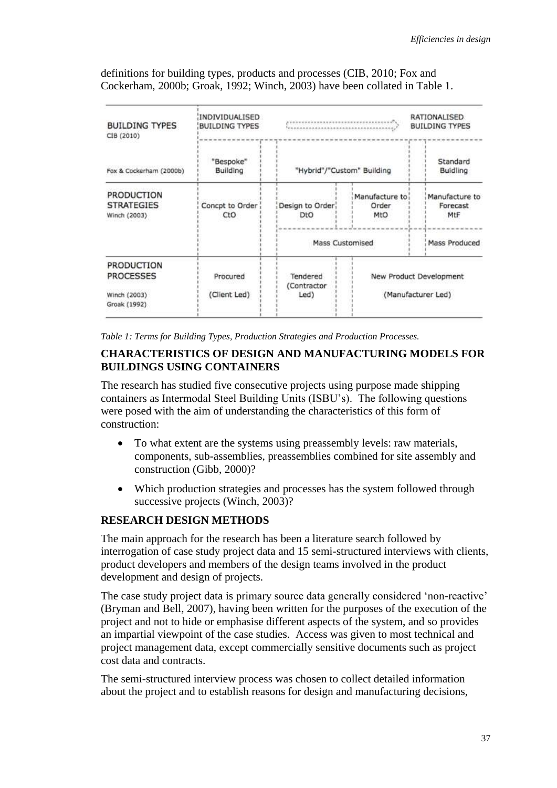definitions for building types, products and processes (CIB, 2010; Fox and Cockerham, 2000b; Groak, 1992; Winch, 2003) have been collated in Table 1.

| <b>BUILDING TYPES</b><br>CIB (2010)                    | INDIVIDUALISED<br><b>BUILDING TYPES</b> |                            |                                | RATIONALISED<br><b>BUILDING TYPES</b> |  |
|--------------------------------------------------------|-----------------------------------------|----------------------------|--------------------------------|---------------------------------------|--|
| Fox & Cockerham (2000b)                                | "Bespoke"<br>Building                   | "Hybrid"/"Custom" Building |                                | Standard<br>Buidling                  |  |
| <b>PRODUCTION</b><br><b>STRATEGIES</b><br>Winch (2003) | Concpt to Order<br>CtO                  | Design to Order<br>DtO     | Manufacture to<br>Order<br>MtO | Manufacture to<br>Forecast<br>MtF     |  |
|                                                        |                                         | <b>Mass Customised</b>     |                                | Mass Produced                         |  |
| PRODUCTION<br><b>PROCESSES</b>                         | Procured                                | Tendered<br>(Contractor    | New Product Development        |                                       |  |
| Winch (2003)<br>Groak (1992)                           | (Client Led)                            | Led)                       |                                | (Manufacturer Led)                    |  |

*Table 1: Terms for Building Types, Production Strategies and Production Processes.*

### **CHARACTERISTICS OF DESIGN AND MANUFACTURING MODELS FOR BUILDINGS USING CONTAINERS**

The research has studied five consecutive projects using purpose made shipping containers as Intermodal Steel Building Units (ISBU's). The following questions were posed with the aim of understanding the characteristics of this form of construction:

- To what extent are the systems using preassembly levels: raw materials, components, sub-assemblies, preassemblies combined for site assembly and construction (Gibb, 2000)?
- Which production strategies and processes has the system followed through successive projects (Winch, 2003)?

### **RESEARCH DESIGN METHODS**

The main approach for the research has been a literature search followed by interrogation of case study project data and 15 semi-structured interviews with clients, product developers and members of the design teams involved in the product development and design of projects.

The case study project data is primary source data generally considered 'non-reactive' (Bryman and Bell, 2007), having been written for the purposes of the execution of the project and not to hide or emphasise different aspects of the system, and so provides an impartial viewpoint of the case studies. Access was given to most technical and project management data, except commercially sensitive documents such as project cost data and contracts.

The semi-structured interview process was chosen to collect detailed information about the project and to establish reasons for design and manufacturing decisions,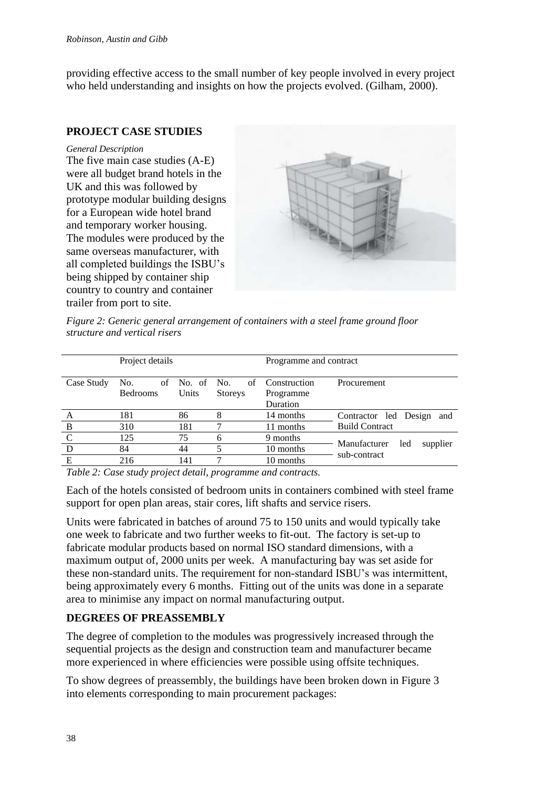providing effective access to the small number of key people involved in every project who held understanding and insights on how the projects evolved. (Gilham, 2000).

## **PROJECT CASE STUDIES**

#### *General Description*

The five main case studies (A-E) were all budget brand hotels in the UK and this was followed by prototype modular building designs for a European wide hotel brand and temporary worker housing. The modules were produced by the same overseas manufacturer, with all completed buildings the ISBU's being shipped by container ship country to country and container trailer from port to site.



*Figure 2: Generic general arrangement of containers with a steel frame ground floor structure and vertical risers* 

| Project details |                 |               |                | Programme and contract |                                                 |  |
|-----------------|-----------------|---------------|----------------|------------------------|-------------------------------------------------|--|
|                 |                 |               |                |                        |                                                 |  |
| Case Study      | No.             | of No. of No. | of             | Construction           | Procurement                                     |  |
|                 | <b>Bedrooms</b> | Units         | <b>Storeys</b> | Programme              |                                                 |  |
|                 |                 |               |                | <b>Duration</b>        |                                                 |  |
| A               | 181             | 86            | 8              | 14 months              | Contractor led Design and                       |  |
| B               | 310             | 181           |                | 11 months              | <b>Build Contract</b>                           |  |
|                 | 125             | 75            | 6              | 9 months               |                                                 |  |
| D               | 84              | 44            |                | 10 months              | Manufacturer<br>supplier<br>led<br>sub-contract |  |
| E               | 216             | 141           |                | 10 months              |                                                 |  |
|                 |                 |               |                |                        |                                                 |  |

*Table 2: Case study project detail, programme and contracts.*

Each of the hotels consisted of bedroom units in containers combined with steel frame support for open plan areas, stair cores, lift shafts and service risers.

Units were fabricated in batches of around 75 to 150 units and would typically take one week to fabricate and two further weeks to fit-out. The factory is set-up to fabricate modular products based on normal ISO standard dimensions, with a maximum output of, 2000 units per week. A manufacturing bay was set aside for these non-standard units. The requirement for non-standard ISBU's was intermittent, being approximately every 6 months. Fitting out of the units was done in a separate area to minimise any impact on normal manufacturing output.

# **DEGREES OF PREASSEMBLY**

The degree of completion to the modules was progressively increased through the sequential projects as the design and construction team and manufacturer became more experienced in where efficiencies were possible using offsite techniques.

To show degrees of preassembly, the buildings have been broken down in Figure 3 into elements corresponding to main procurement packages: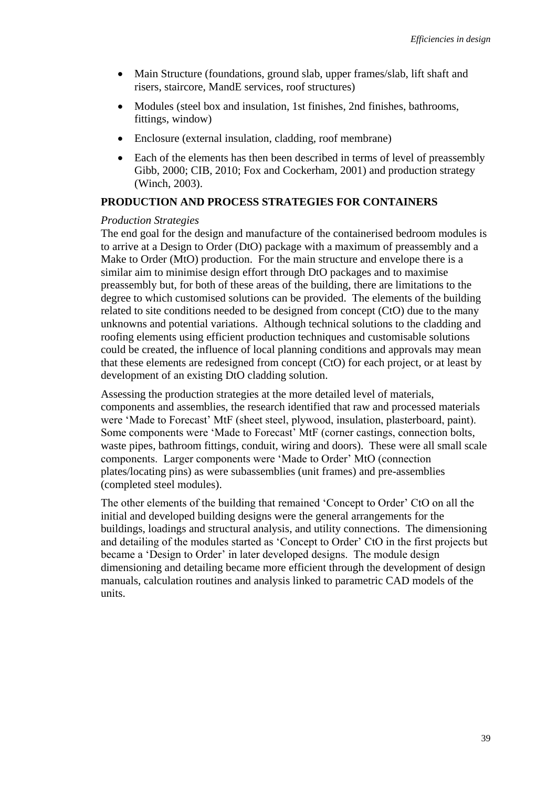- Main Structure (foundations, ground slab, upper frames/slab, lift shaft and risers, staircore, MandE services, roof structures)
- Modules (steel box and insulation, 1st finishes, 2nd finishes, bathrooms, fittings, window)
- Enclosure (external insulation, cladding, roof membrane)
- Each of the elements has then been described in terms of level of preassembly Gibb, 2000; CIB, 2010; Fox and Cockerham, 2001) and production strategy (Winch, 2003).

#### **PRODUCTION AND PROCESS STRATEGIES FOR CONTAINERS**

#### *Production Strategies*

The end goal for the design and manufacture of the containerised bedroom modules is to arrive at a Design to Order (DtO) package with a maximum of preassembly and a Make to Order (MtO) production. For the main structure and envelope there is a similar aim to minimise design effort through DtO packages and to maximise preassembly but, for both of these areas of the building, there are limitations to the degree to which customised solutions can be provided. The elements of the building related to site conditions needed to be designed from concept (CtO) due to the many unknowns and potential variations. Although technical solutions to the cladding and roofing elements using efficient production techniques and customisable solutions could be created, the influence of local planning conditions and approvals may mean that these elements are redesigned from concept (CtO) for each project, or at least by development of an existing DtO cladding solution.

Assessing the production strategies at the more detailed level of materials, components and assemblies, the research identified that raw and processed materials were 'Made to Forecast' MtF (sheet steel, plywood, insulation, plasterboard, paint). Some components were 'Made to Forecast' MtF (corner castings, connection bolts, waste pipes, bathroom fittings, conduit, wiring and doors). These were all small scale components. Larger components were 'Made to Order' MtO (connection plates/locating pins) as were subassemblies (unit frames) and pre-assemblies (completed steel modules).

The other elements of the building that remained 'Concept to Order' CtO on all the initial and developed building designs were the general arrangements for the buildings, loadings and structural analysis, and utility connections. The dimensioning and detailing of the modules started as 'Concept to Order' CtO in the first projects but became a 'Design to Order' in later developed designs. The module design dimensioning and detailing became more efficient through the development of design manuals, calculation routines and analysis linked to parametric CAD models of the units.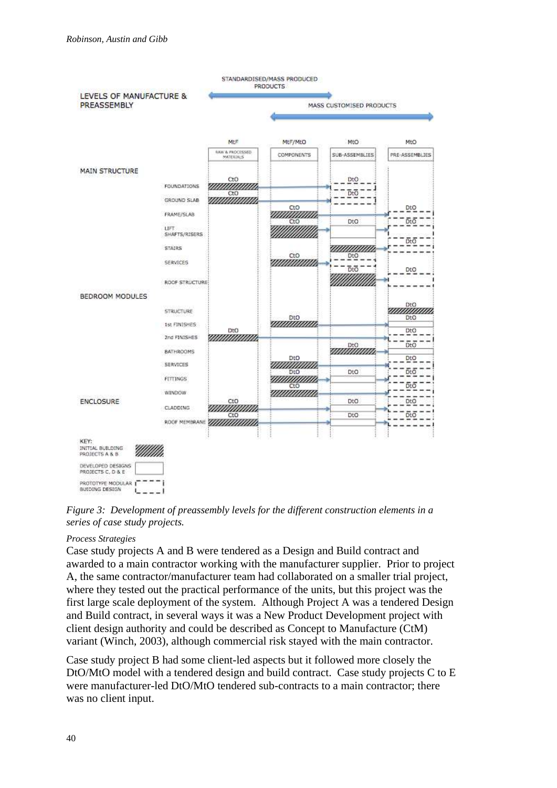

*Figure 3: Development of preassembly levels for the different construction elements in a series of case study projects.*

### *Process Strategies*

Case study projects A and B were tendered as a Design and Build contract and awarded to a main contractor working with the manufacturer supplier. Prior to project A, the same contractor/manufacturer team had collaborated on a smaller trial project, where they tested out the practical performance of the units, but this project was the first large scale deployment of the system. Although Project A was a tendered Design and Build contract, in several ways it was a New Product Development project with client design authority and could be described as Concept to Manufacture (CtM) variant (Winch, 2003), although commercial risk stayed with the main contractor.

Case study project B had some client-led aspects but it followed more closely the DtO/MtO model with a tendered design and build contract. Case study projects C to E were manufacturer-led DtO/MtO tendered sub-contracts to a main contractor; there was no client input.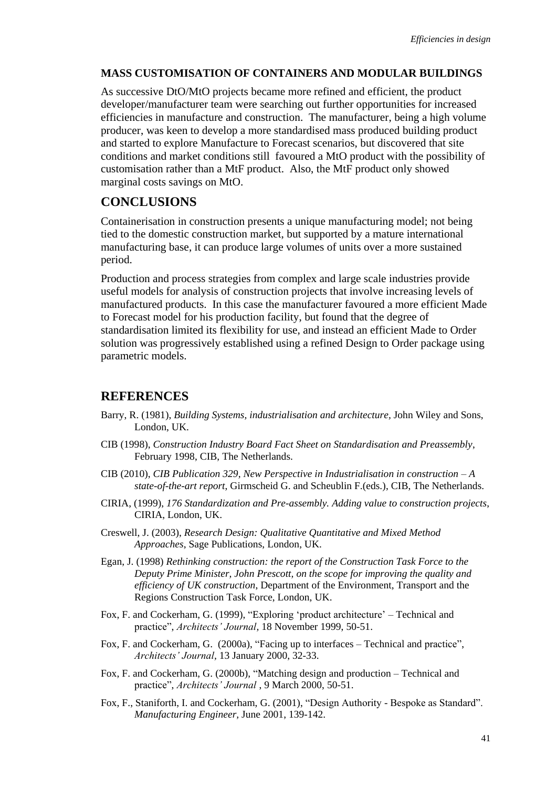#### **MASS CUSTOMISATION OF CONTAINERS AND MODULAR BUILDINGS**

As successive DtO/MtO projects became more refined and efficient, the product developer/manufacturer team were searching out further opportunities for increased efficiencies in manufacture and construction. The manufacturer, being a high volume producer, was keen to develop a more standardised mass produced building product and started to explore Manufacture to Forecast scenarios, but discovered that site conditions and market conditions still favoured a MtO product with the possibility of customisation rather than a MtF product. Also, the MtF product only showed marginal costs savings on MtO.

# **CONCLUSIONS**

Containerisation in construction presents a unique manufacturing model; not being tied to the domestic construction market, but supported by a mature international manufacturing base, it can produce large volumes of units over a more sustained period.

Production and process strategies from complex and large scale industries provide useful models for analysis of construction projects that involve increasing levels of manufactured products. In this case the manufacturer favoured a more efficient Made to Forecast model for his production facility, but found that the degree of standardisation limited its flexibility for use, and instead an efficient Made to Order solution was progressively established using a refined Design to Order package using parametric models.

# **REFERENCES**

- Barry, R. (1981), *Building Systems, industrialisation and architecture,* John Wiley and Sons, London, UK.
- CIB (1998), *Construction Industry Board Fact Sheet on Standardisation and Preassembly*, February 1998, CIB, The Netherlands.
- CIB (2010), *CIB Publication 329, New Perspective in Industrialisation in construction – A state-of-the-art report*, Girmscheid G. and Scheublin F.(eds.), CIB, The Netherlands.
- CIRIA, (1999), *176 Standardization and Pre-assembly. Adding value to construction projects*, CIRIA, London, UK.
- Creswell, J. (2003), *Research Design: Qualitative Quantitative and Mixed Method Approaches*, Sage Publications, London, UK.
- Egan, J. (1998) *Rethinking construction: the report of the Construction Task Force to the Deputy Prime Minister, John Prescott, on the scope for improving the quality and efficiency of UK construction*, Department of the Environment, Transport and the Regions Construction Task Force, London, UK.
- Fox, F. and Cockerham, G. (1999), "Exploring 'product architecture' Technical and practice", *Architects' Journal,* 18 November 1999, 50-51.
- Fox, F. and Cockerham, G. (2000a), "Facing up to interfaces Technical and practice", *Architects' Journal,* 13 January 2000, 32-33.
- Fox, F. and Cockerham, G. (2000b), "Matching design and production Technical and practice", *Architects' Journal* , 9 March 2000, 50-51.
- Fox, F., Staniforth, I. and Cockerham, G. (2001), "Design Authority Bespoke as Standard". *Manufacturing Engineer,* June 2001, 139-142.